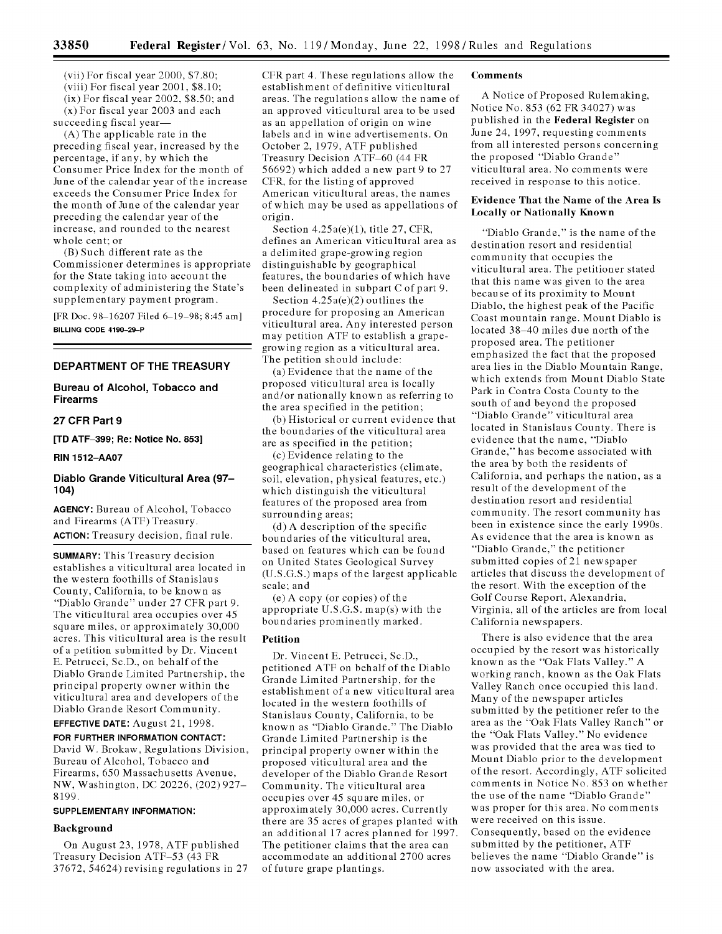(vii) For fiscal year 2000, \$7.80; (viii) For fiscal year 2001, \$8.10; (ix) For fiscal year 2002, \$8.50; and

(x) For fiscal year 2003 and each succeeding fiscal year-

(A) The applicable rate in the preceding fiscal year, increased by the percentage, if any, by which the Consumer Price Index for the month of June of the calendar year of the increase exceeds the Consumer Price Index for the month of June of the calendar year preceding the calendar year of the increase, and rounded to the nearest whole cent; or

(B) Such different rate as the Commissioner determines is appropriate for the State taking into account the complexity of administering the State's supplementary payment program.

[FR Doc. 98-16207 Filed 6-19-98; 8:45 am] **BILLING CODE 4190-29-P**

#### **DEPARTMENT OF THE TREASURY**

# **Bureau of Alcohol, Tobacco and Firearms**

# **27 CFR Part 9**

**[TD ATF-399; Re: Notice No. 853]**

#### **RIN 1512-AA07**

# **Diablo Grande Viticultural Area (97- 104)**

**AGENCY:** Bureau of Alcohol, Tobacco and Firearms (ATF) Treasury. **ACTION:** Treasury decision, final rule.

**SUMMARY:** This Treasury decision establishes a viticultural area located in the western foothills of Stanislaus County, California, to be known as "Diablo Grande" under 27 CFR part 9. The viticultural area occupies over 45 square miles, or approximately 30,000 acres. This viticultural area is the result of a petition submitted by Dr. Vincent E. Petrucci, Sc.D., on behalf of the Diablo Grande Limited Partnership, the principal property owner within the viticultural area and developers of the Diablo Grande Resort Community.

# **EFFECTIVE DATE:** August 21, **1998.**

**FOR FURTHER INFORMATION CONTACT:** David W. Brokaw, Regulations Division, Bureau of Alcohol, Tobacco and Firearms, 650 Massachusetts Avenue, NW, Washington, DC 20226, (202) 927- 8199.

# **SUPPLEMENTARY INFORMATION:**

#### Background

On August 23, 1978, ATF published Treasury Decision ATF-53 (43 FR 37672, 54624) revising regulations in 27 CFR part 4. These regulations allow the establishment of definitive viticultural areas. The regulations allow the name of an approved viticultural area to be used as an appellation of origin on wine labels and in wine advertisements. On October 2, 1979, ATF published Treasury Decision ATF-60 (44 FR 56692) which added a new part 9 to 27 CFR, for the listing of approved American viticultural areas, the names of which may be used as appellations of origin.

Section 4.25a(e)(1), title 27, CFR, defines an American viticultural area as a delimited grape-growing region distinguishable by geographical features, the boundaries of which have been delineated in subpart C of part **9.**

Section 4.25a(e)(2) outlines the procedure for proposing an American viticultural area. Any interested person may petition ATF to establish a grapegrowing region as a viticultural area. The petition should include:

(a) Evidence that the name of the proposed viticultural area is locally and/or nationally known as referring to the area specified in the petition;

(b) Historical or current evidence that the boundaries of the viticultural area are as specified in the petition;

(c) Evidence relating to the geographical characteristics (climate, soil, elevation, physical features, etc.) which distinguish the viticultural features of the proposed area from surrounding areas;

(d) A description of the specific boundaries of the viticultural area, based on features which can be found on United States Geological Survey (U.S.G.S.) maps of the largest applicable scale; and

(e) A copy (or copies) of the appropriate U.S.G.S. map(s) with the boundaries prominently marked.

# Petition

Dr. Vincent E. Petrucci, Sc.D., petitioned ATF on behalf of the Diablo Grande Limited Partnership, for the establishment of a new viticultural area located in the western foothills of Stanislaus County, California, to be known as "Diablo Grande." The Diablo Grande Limited Partnership is the principal property owner within the proposed viticultural area and the developer of the Diablo Grande Resort Community. The viticultural area occupies over 45 square miles, or approximately 30,000 acres. Currently there are 35 acres of grapes planted with an additional 17 acres planned for 1997. The petitioner claims that the area can accommodate an additional 2700 acres of future grape plantings.

#### **Comments**

**A** Notice of Proposed Rulemaking, Notice No. **853** (62 FR 34027) was published in the Federal Register on June 24, 1997, requesting comments from all interested persons concerning the proposed "Diablo Grande" viticultural area. No comments were received in response to this notice.

# **Evidence That the Name of the Area Is Locally or Nationally Known**

"Diablo Grande," is the name of the destination resort and residential community that occupies the viticultural area. The petitioner stated that this name was given to the area because **of** its proximity to Mount Diablo, the highest peak of the Pacific Coast mountain range. Mount Diablo is located 38-40 miles due north of the proposed area. The petitioner emphasized the fact that the proposed area lies in the Diablo Mountain Range, which extends from Mount Diablo State Park in Contra Costa County to the south of and beyond the proposed "Diablo Grande" viticultural area located in Stanislaus County. There is evidence that the name, "Diablo Grande," has become associated with the area **by** both the residents of California, and perhaps the nation, as a result of the development of the destination resort and residential community. The resort community has been in existence since the early 1990s. As evidence that the area is known as "Diablo Grande," the petitioner submitted copies of 21 newspaper articles that discuss the development of the resort. With the exception of the Golf Course Report, Alexandria, Virginia, all of the articles are from local California newspapers.

There is also evidence that the area occupied **by** the resort was historically known as the "Oak Flats Valley." **A** working ranch, known as the Oak Flats Valley Ranch once occupied this land. Many of the newspaper articles submitted **by** the petitioner refer to the area as the "Oak Flats Valley Ranch" or the "Oak Flats Valley." No evidence was provided that the area was tied to Mount Diablo prior to the development of the resort. Accordingly, **ATF** solicited comments in Notice No. **853** on whether the use of the name "Diablo Grande" was proper for this area. No comments were received on this issue. Consequently, based on the evidence submitted **by** the petitioner, **ATF** believes the name "Diablo Grande" is now associated with the area.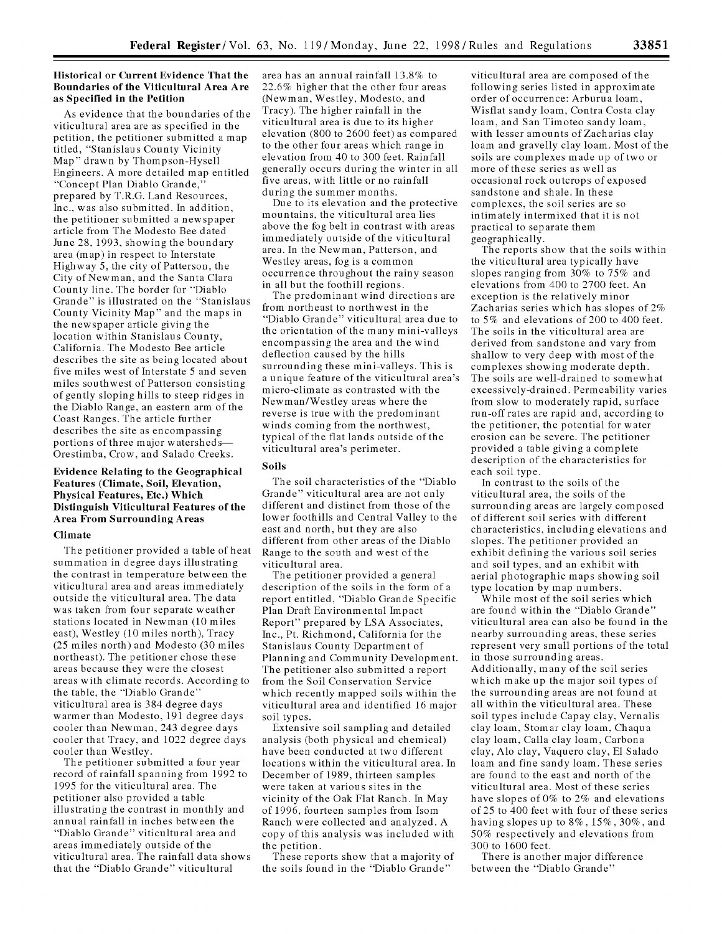#### **Historical or Current Evidence That the Boundaries of the Viticultural Area Are as Specified in the Petition**

As evidence that the boundaries of the viticultural area are as specified in the petition, the petitioner submitted a map titled, "Stanislaus County Vicinity Map" drawn **by** Thompson-Hysell Engineers. **A** more detailed map entitled "Concept Plan Diablo Grande," prepared **by** T.R.G. Land Resources, Inc., was also submitted. In addition, the petitioner submitted a newspaper article from The Modesto Bee dated June **28,** 1993, showing the boundary area (map) in respect to Interstate Highway 5, the city of Patterson, the City of Newman, and the Santa Clara County line. The border for "Diablo Grande" is illustrated on the "Stanislaus County Vicinity Map" and the maps in the newspaper article giving the location within Stanislaus County, California. The Modesto Bee article describes the site as being located about five miles west of Interstate 5 and seven miles southwest of Patterson consisting of gently sloping hills to steep ridges in the Diablo Range, an eastern arm of the Coast Ranges. The article further describes the site as encompassing portions of three major watersheds-Orestimba, Crow, and Salado Creeks.

# **Evidence Relating to the Geographical Features (Climate, Soil, Elevation, Physical Features, Etc.) Which Distinguish Viticultural Features of the Area From Surrounding Areas**

### **Climate**

The petitioner provided a table of heat summation in degree days illustrating the contrast in temperature between the viticultural area and areas immediately outside the viticultural area. The data was taken from four separate weather stations located in Newman (10 miles east), Westley (10 miles north), Tracy (25 miles north) and Modesto (30 miles northeast). The petitioner chose these areas because they were the closest areas with climate records. According to the table, the "Diablo Grande" viticultural area is 384 degree days warmer than Modesto, 191 degree days cooler than Newman, 243 degree days cooler that Tracy, and 1022 degree days cooler than Westley.

The petitioner submitted a four year record of rainfall spanning from 1992 to 1995 for the viticultural area. The petitioner also provided a table illustrating the contrast in monthly and annual rainfall in inches between the "Diablo Grande" viticultural area and areas immediately outside of the viticultural area. The rainfall data shows that the "Diablo Grande" viticultural

area has an annual rainfall 13.8% to 22.6% higher that the other four areas (Newman, Westley, Modesto, and Tracy). The higher rainfall in the viticultural area is due to its higher elevation (800 to 2600 feet) as compared to the other four areas which range in elevation from 40 to 300 feet. Rainfall generally occurs during the winter in all five areas, with little or no rainfall during the summer months.

Due to its elevation and the protective mountains, the viticultural area lies above the fog belt in contrast with areas immediately outside of the viticultural area. In the Newman, Patterson, and Westley areas, fog is a common occurrence throughout the rainy season in all but the foothill regions.

The predominant wind directions are from northeast to northwest in the "Diablo Grande" viticultural area due to the orientation of the many mini-valleys encompassing the area and the wind deflection caused by the hills surrounding these mini-valleys. This is a unique feature of the viticultural area's micro-climate as contrasted with the Newman/Westley areas where the reverse is true with the predominant winds coming from the northwest, typical of the flat lands outside of the viticultural area's perimeter.

# **Soils**

The soil characteristics of the "Diablo Grande" viticultural area are not only different and distinct from those of the lower foothills and Central Valley to the east and north, but they are also different from other areas of the Diablo Range to the south and west of the viticultural area.

The petitioner provided a general description of the soils in the form of a report entitled, "Diablo Grande Specific Plan Draft Environmental Impact Report" prepared **by LSA** Associates, Inc., Pt. Richmond, California for the Stanislaus County Department of Planning and Community Development. The petitioner also submitted a report from the Soil Conservation Service which recently mapped soils within the viticultural area and identified 16 major soil types.

Extensive soil sampling and detailed analysis (both physical and chemical) have been conducted at two different locations within the viticultural area. In December of 1989, thirteen samples were taken at various sites in the vicinity of the Oak Flat Ranch. In May of 1996, fourteen samples from Isom Ranch were collected and analyzed. A copy of this analysis was included with the petition.

These reports show that a majority of the soils found in the "Diablo Grande"

viticultural area are composed of the following series listed in approximate order of occurrence: Arburua loam, Wisflat sandy loam, Contra Costa clay loam, and San Timoteo sandy loam, with lesser amounts of Zacharias clay loam and gravelly clay loam. Most of the soils are complexes made up of two or more of these series as well as occasional rock outcrops of exposed sandstone and shale. In these complexes, the soil series are so intimately intermixed that it is not practical to separate them geographically.

The reports show that the soils within the viticultural area typically have slopes ranging from 30% to 75% and elevations from 400 to 2700 feet. An exception is the relatively minor Zacharias series which has slopes of 2% to 5% and elevations of 200 to 400 feet. The soils in the viticultural area are derived from sandstone and vary from shallow to very deep with most of the complexes showing moderate depth. The soils are well-drained to somewhat excessively-drained. Permeability varies from slow to moderately rapid, surface run-off rates are rapid and, according to the petitioner, the potential for water erosion can be severe. The petitioner provided a table giving a complete description of the characteristics for each soil type.

In contrast to the soils of the viticultural area, the soils of the surrounding areas are largely composed of different soil series with different characteristics, including elevations and slopes. The petitioner provided an exhibit defining the various soil series and soil types, and an exhibit with aerial photographic maps showing soil type location by map numbers.

While most of the soil series which are found within the "Diablo Grande" viticultural area can also be found in the nearby surrounding areas, these series represent very small portions of the total in those surrounding areas. Additionally, many of the soil series which make up the major soil types of the surrounding areas are not found at all within the viticultural area. These soil types include Capay clay, Vernalis clay loam, Stomar clay loam, Chaqua clay loam, Calla clay loam, Carbona clay, Alo clay, Vaquero clay, **El** Salado loam and fine sandy loam. These series are found to the east and north of the viticultural area. Most of these series have slopes of 0% to 2% and elevations of 25 to 400 feet with four of these series having slopes up to 8%, 15%, 30%, and 50% respectively and elevations from 300 to 1600 feet.

There is another major difference between the "Diablo Grande"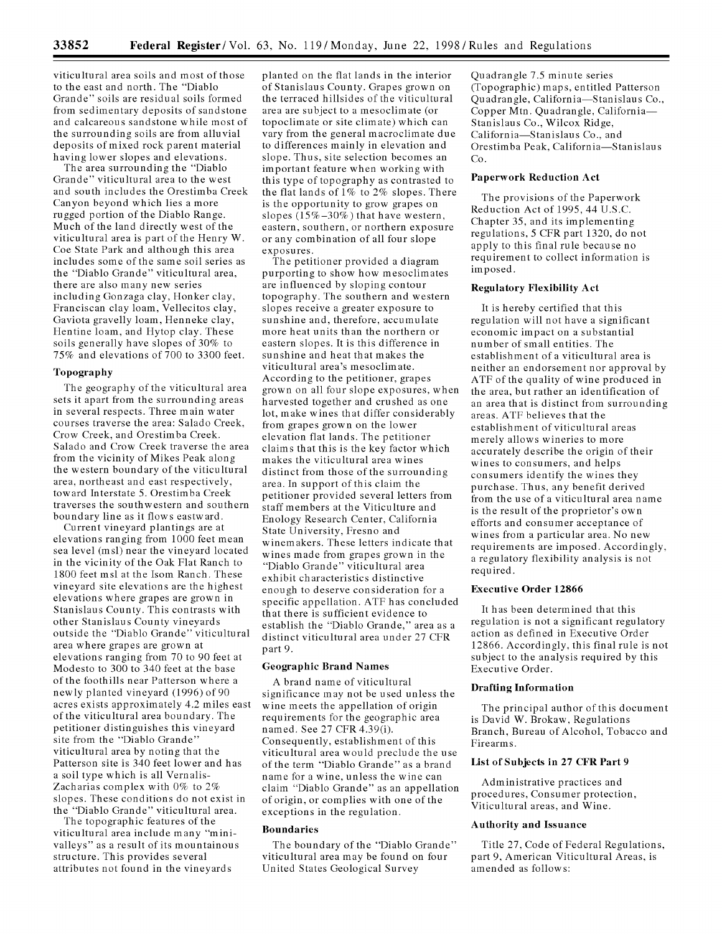viticultural area soils and most of those to the east and north. The "Diablo Grande" soils are residual soils formed from sedimentary deposits of sandstone and calcareous sandstone while most of the surrounding soils are from alluvial deposits of mixed rock parent material having lower slopes and elevations.

The area surrounding the "Diablo Grande" viticultural area to the west and south includes the Orestimba Creek Canyon beyond which lies a more rugged portion of the Diablo Range. Much of the land directly west of the viticultural area is part of the Henry W. Coe State Park and although this area includes some of the same soil series as the "Diablo Grande" viticultural area, there are also many new series including Gonzaga clay, Honker clay, Franciscan clay loam, Vellecitos clay, Gaviota gravelly loam, Henneke clay, Hentine loam, and Hytop clay. These soils generally have slopes of 30% to 75% and elevations of 700 to 3300 feet.

#### Topography

The geography of the viticultural area sets it apart from the surrounding areas in several respects. Three main water courses traverse the area: Salado Creek, Crow Creek, and Orestimba Creek. Salado and Crow Creek traverse the area from the vicinity of Mikes Peak along the western boundary of the viticultural area, northeast and east respectively, toward Interstate 5. Orestimba Creek traverses the southwestern and southern boundary line as it flows eastward.

Current vineyard plantings are at elevations ranging from 1000 feet mean sea level (msl) near the vineyard located in the vicinity of the Oak Flat Ranch to **1800** feet msl at the Isom Ranch. These vineyard site elevations are the highest elevations where grapes are grown in Stanislaus County. This contrasts with other Stanislaus County vineyards outside the "Diablo Grande" viticultural area where grapes are grown at elevations ranging from 70 to 90 feet at Modesto to 300 to 340 feet at the base of the foothills near Patterson where a newly planted vineyard (1996) of 90 acres exists approximately 4.2 miles east of the viticultural area boundary. The petitioner distinguishes this vineyard site from the "Diablo Grande" viticultural area by noting that the Patterson site is 340 feet lower and has a soil type which is all Vernalis-Zacharias complex with 0% to 2% slopes. These conditions do not exist in the "Diablo Grande" viticultural area.

The topographic features of the viticultural area include many "minivalleys" as a result of its mountainous structure. This provides several attributes not found in the vineyards

planted on the flat lands in the interior of Stanislaus County. Grapes grown on the terraced hillsides of the viticultural area are subject to a mesoclimate (or topoclimate or site climate) which can vary from the general macroclimate due to differences mainly in elevation and slope. Thus, site selection becomes an important feature when working with this type of topography as contrasted to the flat lands of 1% to 2% slopes. There is the opportunity to grow grapes on slopes  $(15\% - 30\%)$  that have western, eastern, southern, or northern exposure or any combination of all four slope exposures.

The petitioner provided a diagram purporting to show how mesoclimates are influenced by sloping contour topography. The southern and western slopes receive a greater exposure to sunshine and, therefore, accumulate more heat units than the northern or eastern slopes. It is this difference in sunshine and heat that makes the viticultural area's mesoclimate. According to the petitioner, grapes grown on all four slope exposures, when harvested together and crushed as one lot, make wines that differ considerably from grapes grown on the lower elevation flat lands. The petitioner claims that this is the key factor which makes the viticultural area wines distinct from those of the surrounding area. In support of this claim the petitioner provided several letters from staff members at the Viticulture and Enology Research Center, California State University, Fresno and winemakers. These letters indicate that wines made from grapes grown in the "Diablo Grande" viticultural area exhibit characteristics distinctive enough to deserve consideration for a specific appellation. ATF has concluded that there is sufficient evidence to establish the "Diablo Grande," area as a distinct viticultural area under 27 CFR part 9.

# Geographic Brand Names

**A** brand name of viticultural significance may not be used unless the wine meets the appellation of origin requirements for the geographic area named. See **27** CFR 4.39(i). Consequently, establishment of this viticultural area would preclude the use of the term "Diablo Grande" as a brand name for a wine, unless the wine can claim "Diablo Grande" as an appellation of origin, or complies with one of the exceptions in the regulation.

#### **Boundaries**

The boundary of the "Diablo Grande" viticultural area may be found on four United States Geological Survey

Quadrangle 7.5 minute series (Topographic) maps, entitled Patterson Quadrangle, California-Stanislaus Co., Copper Mtn. Quadrangle, California-Stanislaus Co., Wilcox Ridge, California-Stanislaus Co., and Orestimba Peak, California-Stanislaus Co.

#### Paperwork Reduction Act

The provisions of the Paperwork Reduction Act of 1995, 44 U.S.C. Chapter **35,** and its implementing regulations, 5 CFR part 1320, do not apply to this final rule because no requirement to collect information is imposed.

#### Regulatory Flexibility Act

It is hereby certified that this regulation will not have a significant economic impact on a substantial number of small entities. The establishment of a viticultural area is neither an endorsement nor approval **by ATF** of the quality of wine produced in the area, but rather an identification of an area that is distinct from surrounding areas. **ATF** believes that the establishment of viticultural areas merely allows wineries to more accurately describe the origin of their wines to consumers, and helps consumers identify the wines they purchase. Thus, any benefit derived from the use of a viticultural area name is the result of the proprietor's own efforts and consumer acceptance of wines from a particular area. No new requirements are imposed. Accordingly, a regulatory flexibility analysis is not required.

#### Executive Order **12866**

It has been determined that this regulation is not a significant regulatory action as defined in Executive Order 12866. Accordingly, this final rule is not subject to the analysis required **by** this Executive Order.

#### **Drafting Information**

The principal author of this document is David W. Brokaw, Regulations Branch, Bureau of Alcohol, Tobacco and Firearms.

#### **List of Subjects in 27 CFR Part 9**

Administrative practices and procedures, Consumer protection, Viticultural areas, and Wine.

#### Authority and Issuance

Title **27,** Code of Federal Regulations, part 9, American Viticultural Areas, is amended as follows: